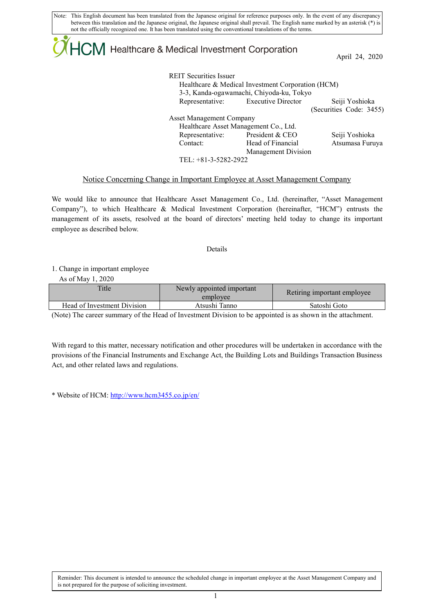Note: This English document has been translated from the Japanese original for reference purposes only. In the event of any discrepancy between this translation and the Japanese original, the Japanese original shall prevail. The English name marked by an asterisk (\*) is not the officially recognized one. It has been translated using the conventional translations of the terms.

# CM Healthcare & Medical Investment Corporation

April 24, 2020

| <b>REIT Securities Issuer</b>                     |                                          |                         |  |  |  |  |  |
|---------------------------------------------------|------------------------------------------|-------------------------|--|--|--|--|--|
| Healthcare & Medical Investment Corporation (HCM) |                                          |                         |  |  |  |  |  |
|                                                   | 3-3, Kanda-ogawamachi, Chiyoda-ku, Tokyo |                         |  |  |  |  |  |
|                                                   | Representative: Executive Director       | Seiji Yoshioka          |  |  |  |  |  |
|                                                   |                                          | (Securities Code: 3455) |  |  |  |  |  |
| Asset Management Company                          |                                          |                         |  |  |  |  |  |
| Healthcare Asset Management Co., Ltd.             |                                          |                         |  |  |  |  |  |
| Representative:                                   | President & CEO                          | Seiji Yoshioka          |  |  |  |  |  |
| Contact:                                          | Head of Financial                        | Atsumasa Furuya         |  |  |  |  |  |
|                                                   | Management Division                      |                         |  |  |  |  |  |
| TEL: $+81-3-5282-2922$                            |                                          |                         |  |  |  |  |  |

## Notice Concerning Change in Important Employee at Asset Management Company

We would like to announce that Healthcare Asset Management Co., Ltd. (hereinafter, "Asset Management Company"), to which Healthcare & Medical Investment Corporation (hereinafter, "HCM") entrusts the management of its assets, resolved at the board of directors' meeting held today to change its important employee as described below.

#### Details

1. Change in important employee

As of May 1, 2020

| <b>Title</b>                | Newly appointed important<br>employee | Retiring important employee |
|-----------------------------|---------------------------------------|-----------------------------|
| Head of Investment Division | Atsushi Tanno                         | Satoshi Goto                |

(Note) The career summary of the Head of Investment Division to be appointed is as shown in the attachment.

With regard to this matter, necessary notification and other procedures will be undertaken in accordance with the provisions of the Financial Instruments and Exchange Act, the Building Lots and Buildings Transaction Business Act, and other related laws and regulations.

\* Website of HCM[: http://www.hcm3455.co.jp/en/](http://www.hcm3455.co.jp/en/)

Reminder: This document is intended to announce the scheduled change in important employee at the Asset Management Company and is not prepared for the purpose of soliciting investment.